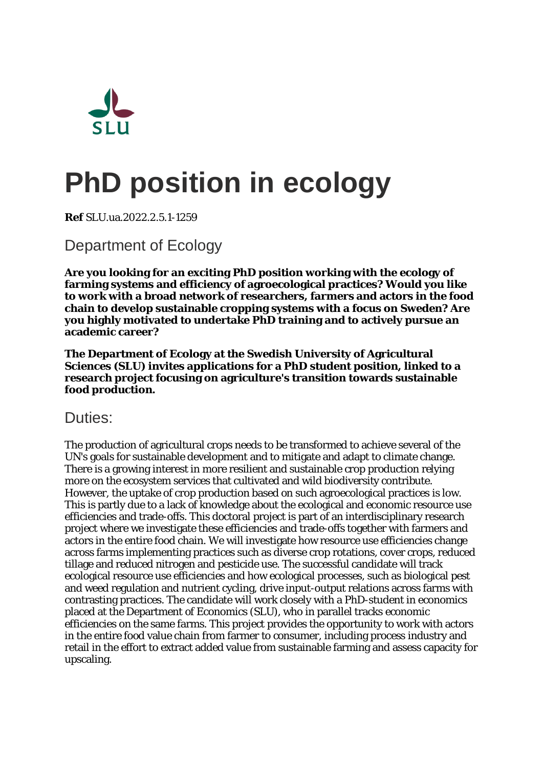

# **PhD position in ecology**

**Ref** SLU.ua.2022.2.5.1-1259

Department of Ecology

**Are you looking for an exciting PhD position working with the ecology of farming systems and efficiency of agroecological practices? Would you like to work with a broad network of researchers, farmers and actors in the food chain to develop sustainable cropping systems with a focus on Sweden? Are you highly motivated to undertake PhD training and to actively pursue an academic career?**

**The Department of Ecology at the Swedish University of Agricultural Sciences (SLU) invites applications for a PhD student position, linked to a research project focusing on agriculture's transition towards sustainable food production.**

#### Duties:

The production of agricultural crops needs to be transformed to achieve several of the UN's goals for sustainable development and to mitigate and adapt to climate change. There is a growing interest in more resilient and sustainable crop production relying more on the ecosystem services that cultivated and wild biodiversity contribute. However, the uptake of crop production based on such agroecological practices is low. This is partly due to a lack of knowledge about the ecological and economic resource use efficiencies and trade-offs. This doctoral project is part of an interdisciplinary research project where we investigate these efficiencies and trade-offs together with farmers and actors in the entire food chain. We will investigate how resource use efficiencies change across farms implementing practices such as diverse crop rotations, cover crops, reduced tillage and reduced nitrogen and pesticide use. The successful candidate will track ecological resource use efficiencies and how ecological processes, such as biological pest and weed regulation and nutrient cycling, drive input-output relations across farms with contrasting practices. The candidate will work closely with a PhD-student in economics placed at the Department of Economics (SLU), who in parallel tracks economic efficiencies on the same farms. This project provides the opportunity to work with actors in the entire food value chain from farmer to consumer, including process industry and retail in the effort to extract added value from sustainable farming and assess capacity for upscaling.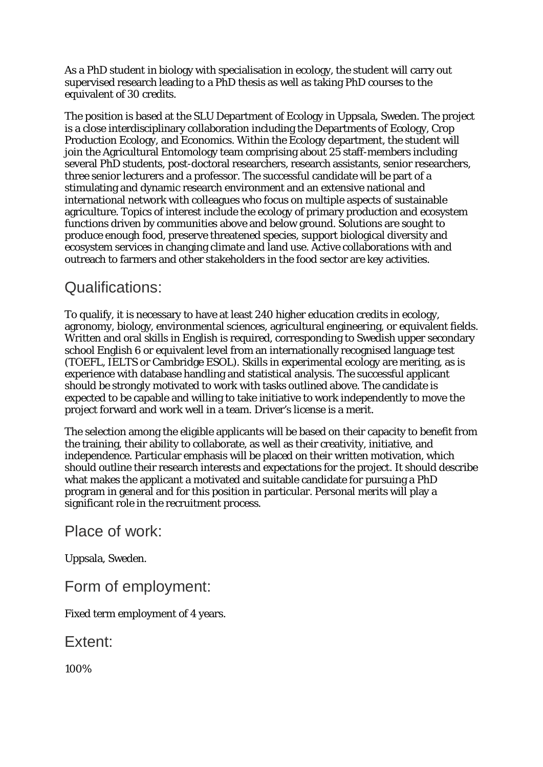As a PhD student in biology with specialisation in ecology, the student will carry out supervised research leading to a PhD thesis as well as taking PhD courses to the equivalent of 30 credits.

The position is based at the SLU Department of Ecology in Uppsala, Sweden. The project is a close interdisciplinary collaboration including the Departments of Ecology, Crop Production Ecology, and Economics. Within the Ecology department, the student will join the Agricultural Entomology team comprising about 25 staff-members including several PhD students, post-doctoral researchers, research assistants, senior researchers, three senior lecturers and a professor. The successful candidate will be part of a stimulating and dynamic research environment and an extensive national and international network with colleagues who focus on multiple aspects of sustainable agriculture. Topics of interest include the ecology of primary production and ecosystem functions driven by communities above and below ground. Solutions are sought to produce enough food, preserve threatened species, support biological diversity and ecosystem services in changing climate and land use. Active collaborations with and outreach to farmers and other stakeholders in the food sector are key activities.

# Qualifications:

To qualify, it is necessary to have at least 240 higher education credits in ecology, agronomy, biology, environmental sciences, agricultural engineering, or equivalent fields. Written and oral skills in English is required, corresponding to Swedish upper secondary school English 6 or equivalent level from an internationally recognised language test (TOEFL, IELTS or Cambridge ESOL). Skills in experimental ecology are meriting, as is experience with database handling and statistical analysis. The successful applicant should be strongly motivated to work with tasks outlined above. The candidate is expected to be capable and willing to take initiative to work independently to move the project forward and work well in a team. Driver's license is a merit.

The selection among the eligible applicants will be based on their capacity to benefit from the training, their ability to collaborate, as well as their creativity, initiative, and independence. Particular emphasis will be placed on their written motivation, which should outline their research interests and expectations for the project. It should describe what makes the applicant a motivated and suitable candidate for pursuing a PhD program in general and for this position in particular. Personal merits will play a significant role in the recruitment process.

Place of work:

Uppsala, Sweden.

Form of employment:

Fixed term employment of 4 years.

Extent:

100%